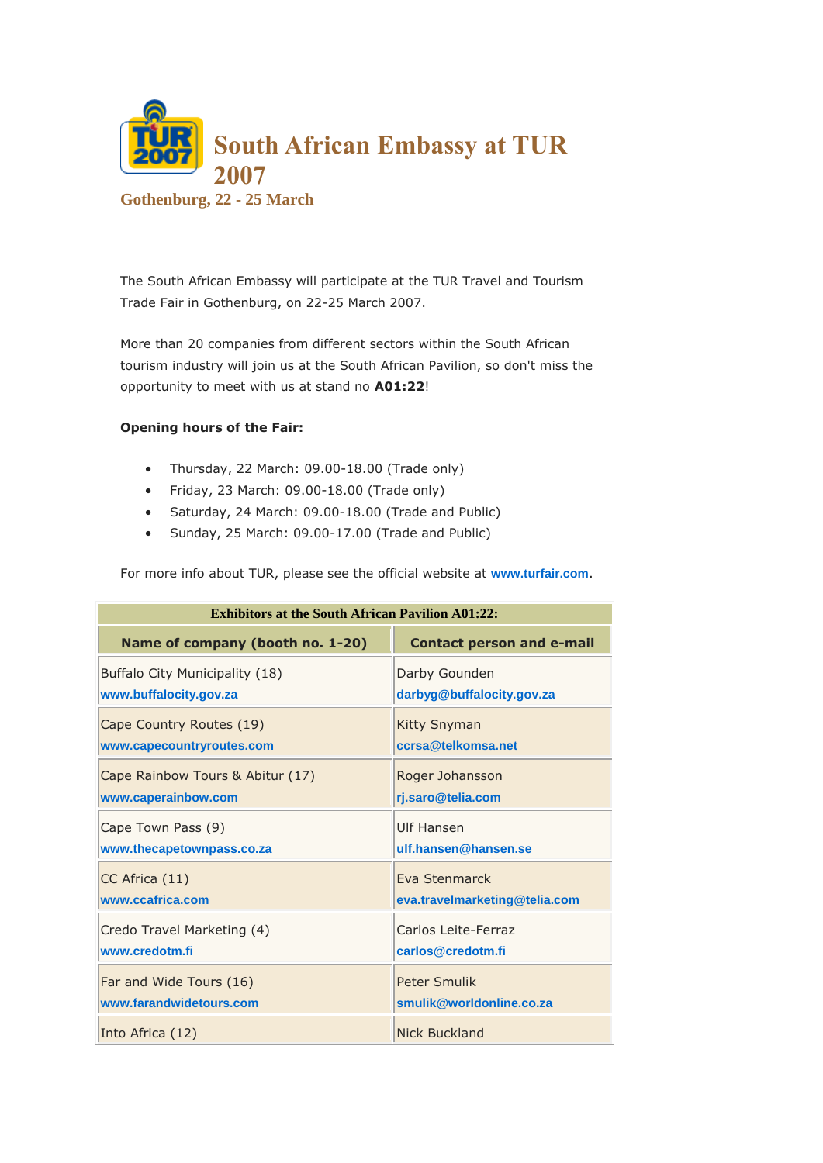

The South African Embassy will participate at the TUR Travel and Tourism Trade Fair in Gothenburg, on 22-25 March 2007.

More than 20 companies from different sectors within the South African tourism industry will join us at the South African Pavilion, so don't miss the opportunity to meet with us at stand no **A01:22**!

## **Opening hours of the Fair:**

- Thursday, 22 March: 09.00-18.00 (Trade only)
- $\bullet$  Friday, 23 March: 09.00-18.00 (Trade only)
- Saturday, 24 March: 09.00-18.00 (Trade and Public)
- Sunday, 25 March: 09.00-17.00 (Trade and Public)

For more info about TUR, please see the official website at **[www.turfair.com](http://www.turfair.com/)**.

| <b>Exhibitors at the South African Pavilion A01:22:</b> |                                  |  |
|---------------------------------------------------------|----------------------------------|--|
| Name of company (booth no. 1-20)                        | <b>Contact person and e-mail</b> |  |
| Buffalo City Municipality (18)                          | Darby Gounden                    |  |
| www.buffalocity.gov.za                                  | darbyg@buffalocity.gov.za        |  |
| Cape Country Routes (19)                                | <b>Kitty Snyman</b>              |  |
| www.capecountryroutes.com                               | ccrsa@telkomsa.net               |  |
| Cape Rainbow Tours & Abitur (17)                        | Roger Johansson                  |  |
| www.caperainbow.com                                     | rj.saro@telia.com                |  |
| Cape Town Pass (9)                                      | Ulf Hansen                       |  |
| www.thecapetownpass.co.za                               | ulf.hansen@hansen.se             |  |
| CC Africa (11)                                          | Eva Stenmarck                    |  |
| www.ccafrica.com                                        | eva.travelmarketing@telia.com    |  |
| Credo Travel Marketing (4)                              | Carlos Leite-Ferraz              |  |
| www.credotm.fi                                          | carlos@credotm.fi                |  |
| Far and Wide Tours (16)                                 | Peter Smulik                     |  |
| www.farandwidetours.com                                 | smulik@worldonline.co.za         |  |
| Into Africa (12)                                        | Nick Buckland                    |  |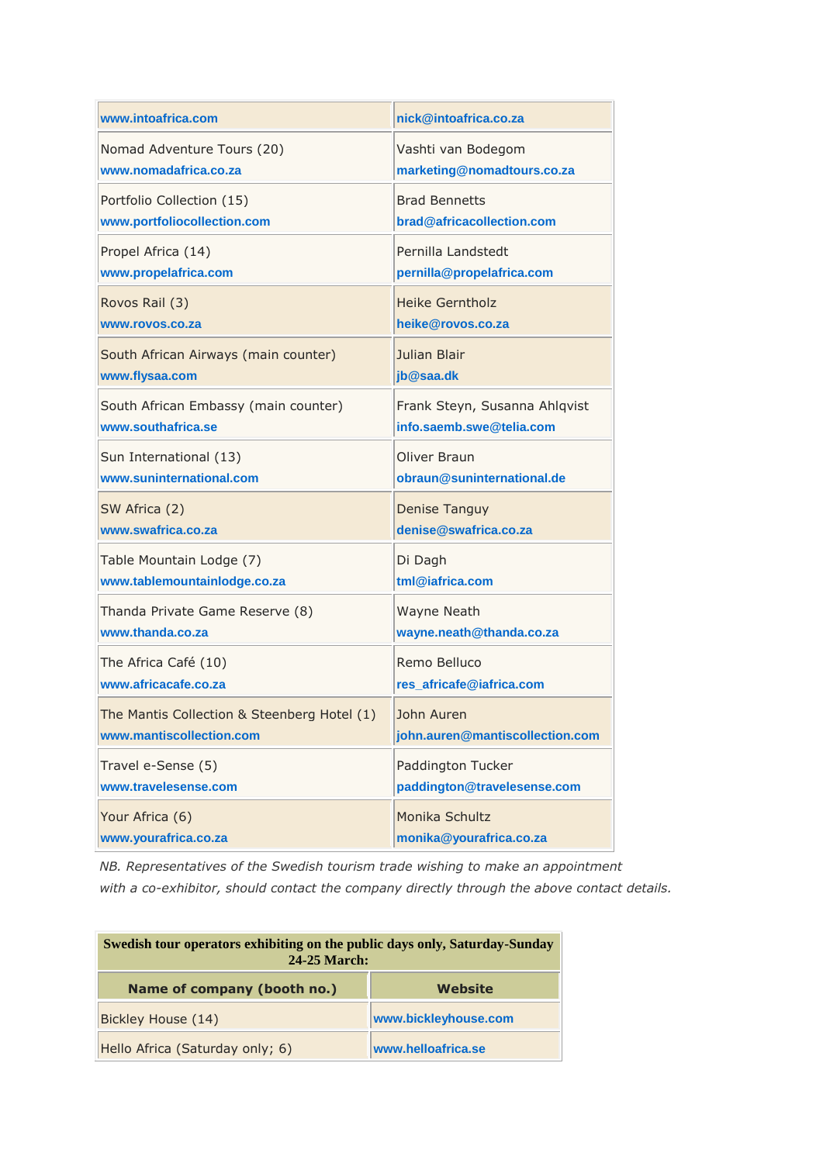| www.intoafrica.com                          | nick@intoafrica.co.za           |
|---------------------------------------------|---------------------------------|
| Nomad Adventure Tours (20)                  | Vashti van Bodegom              |
| www.nomadafrica.co.za                       | marketing@nomadtours.co.za      |
| Portfolio Collection (15)                   | <b>Brad Bennetts</b>            |
| www.portfoliocollection.com                 | brad@africacollection.com       |
| Propel Africa (14)                          | Pernilla Landstedt              |
| www.propelafrica.com                        | pernilla@propelafrica.com       |
| Rovos Rail (3)                              | <b>Heike Gerntholz</b>          |
| www.rovos.co.za                             | heike@rovos.co.za               |
| South African Airways (main counter)        | Julian Blair                    |
| www.flysaa.com                              | jb@saa.dk                       |
| South African Embassy (main counter)        | Frank Steyn, Susanna Ahlqvist   |
| www.southafrica.se                          | info.saemb.swe@telia.com        |
| Sun International (13)                      | Oliver Braun                    |
| www.suninternational.com                    | obraun@suninternational.de      |
| SW Africa (2)                               | <b>Denise Tanguy</b>            |
| www.swafrica.co.za                          | denise@swafrica.co.za           |
| Table Mountain Lodge (7)                    | Di Dagh                         |
| www.tablemountainlodge.co.za                | tml@iafrica.com                 |
| Thanda Private Game Reserve (8)             | Wayne Neath                     |
| www.thanda.co.za                            | wayne.neath@thanda.co.za        |
| The Africa Café (10)                        | Remo Belluco                    |
| www.africacafe.co.za                        | res_africafe@iafrica.com        |
| The Mantis Collection & Steenberg Hotel (1) | John Auren                      |
| www.mantiscollection.com                    | john.auren@mantiscollection.com |
| Travel e-Sense (5)                          | Paddington Tucker               |
| www.travelesense.com                        | paddington@travelesense.com     |
| Your Africa (6)                             | Monika Schultz                  |
| www.yourafrica.co.za                        | monika@yourafrica.co.za         |

*NB. Representatives of the Swedish tourism trade wishing to make an appointment with a co-exhibitor, should contact the company directly through the above contact details.*

| Swedish tour operators exhibiting on the public days only, Saturday-Sunday<br>24-25 March: |                      |
|--------------------------------------------------------------------------------------------|----------------------|
| Name of company (booth no.)                                                                | Website              |
| Bickley House (14)                                                                         | www.bickleyhouse.com |
| Hello Africa (Saturday only; 6)                                                            | www.helloafrica.se   |